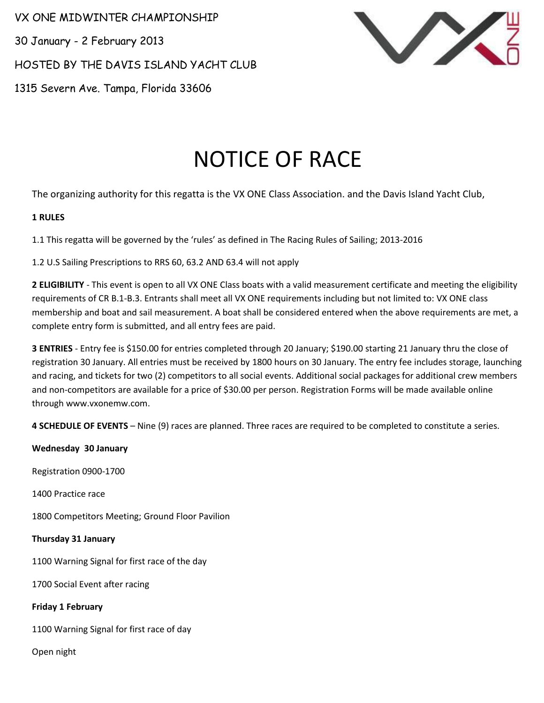VX ONE MIDWINTER CHAMPIONSHIP

30 January - 2 February 2013

HOSTED BY THE DAVIS ISLAND YACHT CLUB

1315 Severn Ave. Tampa, Florida 33606



# NOTICE OF RACE

The organizing authority for this regatta is the VX ONE Class Association. and the Davis Island Yacht Club,

## **1 RULES**

1.1 This regatta will be governed by the 'rules' as defined in The Racing Rules of Sailing; 2013-2016

1.2 U.S Sailing Prescriptions to RRS 60, 63.2 AND 63.4 will not apply

**2 ELIGIBILITY** - This event is open to all VX ONE Class boats with a valid measurement certificate and meeting the eligibility requirements of CR B.1-B.3. Entrants shall meet all VX ONE requirements including but not limited to: VX ONE class membership and boat and sail measurement. A boat shall be considered entered when the above requirements are met, a complete entry form is submitted, and all entry fees are paid.

**3 ENTRIES** - Entry fee is \$150.00 for entries completed through 20 January; \$190.00 starting 21 January thru the close of registration 30 January. All entries must be received by 1800 hours on 30 January. The entry fee includes storage, launching and racing, and tickets for two (2) competitors to all social events. Additional social packages for additional crew members and non-competitors are available for a price of \$30.00 per person. Registration Forms will be made available online through www.vxonemw.com.

**4 SCHEDULE OF EVENTS** – Nine (9) races are planned. Three races are required to be completed to constitute a series.

**Wednesday 30 January** 

Registration 0900-1700

1400 Practice race

1800 Competitors Meeting; Ground Floor Pavilion

## **Thursday 31 January**

1100 Warning Signal for first race of the day

1700 Social Event after racing

**Friday 1 February**

1100 Warning Signal for first race of day

Open night